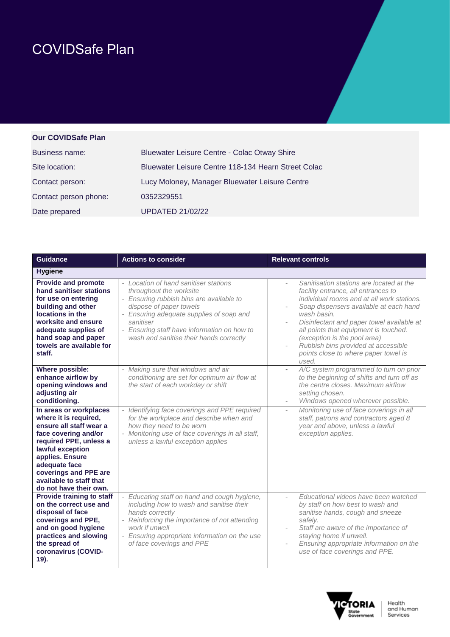## COVIDSafe Plan

## **Our COVIDSafe Plan**

| <b>Business name:</b> | <b>Bluewater Leisure Centre - Colac Otway Shire</b> |
|-----------------------|-----------------------------------------------------|
| Site location:        | Bluewater Leisure Centre 118-134 Hearn Street Colac |
| Contact person:       | Lucy Moloney, Manager Bluewater Leisure Centre      |
| Contact person phone: | 0352329551                                          |
| Date prepared         | <b>UPDATED 21/02/22</b>                             |

| <b>Guidance</b>                                                                                                                                                                                                                                                    | <b>Actions to consider</b>                                                                                                                                                                                                                                                                 | <b>Relevant controls</b>                                                                                                                                                                                                                                                                                                                                                                             |
|--------------------------------------------------------------------------------------------------------------------------------------------------------------------------------------------------------------------------------------------------------------------|--------------------------------------------------------------------------------------------------------------------------------------------------------------------------------------------------------------------------------------------------------------------------------------------|------------------------------------------------------------------------------------------------------------------------------------------------------------------------------------------------------------------------------------------------------------------------------------------------------------------------------------------------------------------------------------------------------|
| <b>Hygiene</b>                                                                                                                                                                                                                                                     |                                                                                                                                                                                                                                                                                            |                                                                                                                                                                                                                                                                                                                                                                                                      |
| <b>Provide and promote</b><br>hand sanitiser stations<br>for use on entering<br>building and other<br>locations in the<br>worksite and ensure<br>adequate supplies of<br>hand soap and paper<br>towels are available for<br>staff.                                 | - Location of hand sanitiser stations<br>throughout the worksite<br>- Ensuring rubbish bins are available to<br>dispose of paper towels<br>- Ensuring adequate supplies of soap and<br>sanitiser<br>- Ensuring staff have information on how to<br>wash and sanitise their hands correctly | Sanitisation stations are located at the<br>facility entrance, all entrances to<br>individual rooms and at all work stations.<br>Soap dispensers available at each hand<br>wash basin.<br>Disinfectant and paper towel available at<br>all points that equipment is touched.<br>(exception is the pool area)<br>Rubbish bins provided at accessible<br>points close to where paper towel is<br>used. |
| Where possible:<br>enhance airflow by<br>opening windows and<br>adjusting air<br>conditioning.                                                                                                                                                                     | - Making sure that windows and air<br>conditioning are set for optimum air flow at<br>the start of each workday or shift                                                                                                                                                                   | A/C system programmed to turn on prior<br>$\blacksquare$<br>to the beginning of shifts and turn off as<br>the centre closes. Maximum airflow<br>setting chosen.<br>Windows opened wherever possible.                                                                                                                                                                                                 |
| In areas or workplaces<br>where it is required,<br>ensure all staff wear a<br>face covering and/or<br>required PPE, unless a<br>lawful exception<br>applies. Ensure<br>adequate face<br>coverings and PPE are<br>available to staff that<br>do not have their own. | - Identifying face coverings and PPE required<br>for the workplace and describe when and<br>how they need to be worn<br>- Monitoring use of face coverings in all staff,<br>unless a lawful exception applies                                                                              | Monitoring use of face coverings in all<br>staff, patrons and contractors aged 8<br>year and above, unless a lawful<br>exception applies.                                                                                                                                                                                                                                                            |
| <b>Provide training to staff</b><br>on the correct use and<br>disposal of face<br>coverings and PPE,<br>and on good hygiene<br>practices and slowing<br>the spread of<br>coronavirus (COVID-<br>19).                                                               | - Educating staff on hand and cough hygiene,<br>including how to wash and sanitise their<br>hands correctly<br>- Reinforcing the importance of not attending<br>work if unwell<br>- Ensuring appropriate information on the use<br>of face coverings and PPE                               | Fducational videos have been watched<br>$\overline{\phantom{a}}$<br>by staff on how best to wash and<br>sanitise hands, cough and sneeze<br>safely.<br>Staff are aware of the importance of<br>staying home if unwell.<br>Ensuring appropriate information on the<br>$\overline{\phantom{a}}$<br>use of face coverings and PPE.                                                                      |

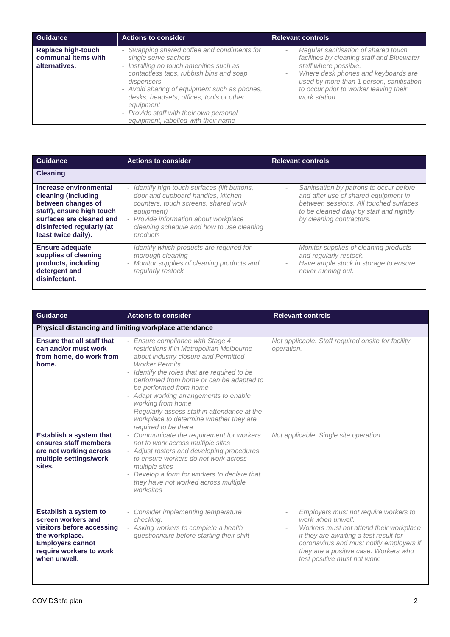| Guidance                                                          | <b>Actions to consider</b>                                                                                                                                                                                                                                                                                                                                                                           | <b>Relevant controls</b>                                                                                                                                                                                                                                                                       |
|-------------------------------------------------------------------|------------------------------------------------------------------------------------------------------------------------------------------------------------------------------------------------------------------------------------------------------------------------------------------------------------------------------------------------------------------------------------------------------|------------------------------------------------------------------------------------------------------------------------------------------------------------------------------------------------------------------------------------------------------------------------------------------------|
| <b>Replace high-touch</b><br>communal items with<br>alternatives. | Swapping shared coffee and condiments for<br>$\overline{\phantom{a}}$<br>single serve sachets<br>Installing no touch amenities such as<br>$\sim$<br>contactless taps, rubbish bins and soap<br>dispensers<br>- Avoid sharing of equipment such as phones,<br>desks, headsets, offices, tools or other<br>equipment<br>- Provide staff with their own personal<br>equipment, labelled with their name | Regular sanitisation of shared touch<br>$\overline{\phantom{a}}$<br>facilities by cleaning staff and Bluewater<br>staff where possible.<br>Where desk phones and keyboards are<br>$\sim$<br>used by more than 1 person, sanitisation<br>to occur prior to worker leaving their<br>work station |

| <b>Guidance</b>                                                                                                                                                                  | <b>Actions to consider</b>                                                                                                                                                                                                                  | <b>Relevant controls</b>                                                                                                                                                                                                      |
|----------------------------------------------------------------------------------------------------------------------------------------------------------------------------------|---------------------------------------------------------------------------------------------------------------------------------------------------------------------------------------------------------------------------------------------|-------------------------------------------------------------------------------------------------------------------------------------------------------------------------------------------------------------------------------|
| <b>Cleaning</b>                                                                                                                                                                  |                                                                                                                                                                                                                                             |                                                                                                                                                                                                                               |
| Increase environmental<br>cleaning (including<br>between changes of<br>staff), ensure high touch<br>surfaces are cleaned and<br>disinfected regularly (at<br>least twice daily). | - Identify high touch surfaces (lift buttons,<br>door and cupboard handles, kitchen<br>counters, touch screens, shared work<br>equipment)<br>- Provide information about workplace<br>cleaning schedule and how to use cleaning<br>products | Sanitisation by patrons to occur before<br>$\overline{\phantom{0}}$<br>and after use of shared equipment in<br>between sessions. All touched surfaces<br>to be cleaned daily by staff and nightly<br>by cleaning contractors. |
| <b>Ensure adequate</b><br>supplies of cleaning<br>products, including<br>detergent and<br>disinfectant.                                                                          | - Identify which products are required for<br>thorough cleaning<br>Monitor supplies of cleaning products and<br>$\sim$<br>regularly restock                                                                                                 | Monitor supplies of cleaning products<br>$\sim$<br>and regularly restock.<br>Have ample stock in storage to ensure<br>$\sim$<br>never running out.                                                                            |

| <b>Guidance</b>                                                                                                                                                  | <b>Actions to consider</b>                                                                                                                                                                                                                                                                                                                                                                                                                              | <b>Relevant controls</b>                                                                                                                                                                                                                                             |
|------------------------------------------------------------------------------------------------------------------------------------------------------------------|---------------------------------------------------------------------------------------------------------------------------------------------------------------------------------------------------------------------------------------------------------------------------------------------------------------------------------------------------------------------------------------------------------------------------------------------------------|----------------------------------------------------------------------------------------------------------------------------------------------------------------------------------------------------------------------------------------------------------------------|
|                                                                                                                                                                  | Physical distancing and limiting workplace attendance                                                                                                                                                                                                                                                                                                                                                                                                   |                                                                                                                                                                                                                                                                      |
| <b>Ensure that all staff that</b><br>can and/or must work<br>from home, do work from<br>home.                                                                    | - Ensure compliance with Stage 4<br>restrictions if in Metropolitan Melbourne<br>about industry closure and Permitted<br><b>Worker Permits</b><br>- Identify the roles that are required to be<br>performed from home or can be adapted to<br>be performed from home<br>- Adapt working arrangements to enable<br>working from home<br>- Regularly assess staff in attendance at the<br>workplace to determine whether they are<br>required to be there | Not applicable. Staff required onsite for facility<br>operation.                                                                                                                                                                                                     |
| <b>Establish a system that</b><br>ensures staff members<br>are not working across<br>multiple settings/work<br>sites.                                            | - Communicate the requirement for workers<br>not to work across multiple sites<br>- Adjust rosters and developing procedures<br>to ensure workers do not work across<br>multiple sites<br>- Develop a form for workers to declare that<br>they have not worked across multiple<br>worksites                                                                                                                                                             | Not applicable. Single site operation.                                                                                                                                                                                                                               |
| Establish a system to<br>screen workers and<br>visitors before accessing<br>the workplace.<br><b>Employers cannot</b><br>require workers to work<br>when unwell. | - Consider implementing temperature<br>checking.<br>- Asking workers to complete a health<br>questionnaire before starting their shift                                                                                                                                                                                                                                                                                                                  | Employers must not require workers to<br>work when unwell.<br>Workers must not attend their workplace<br>if they are awaiting a test result for<br>coronavirus and must notify employers if<br>they are a positive case. Workers who<br>test positive must not work. |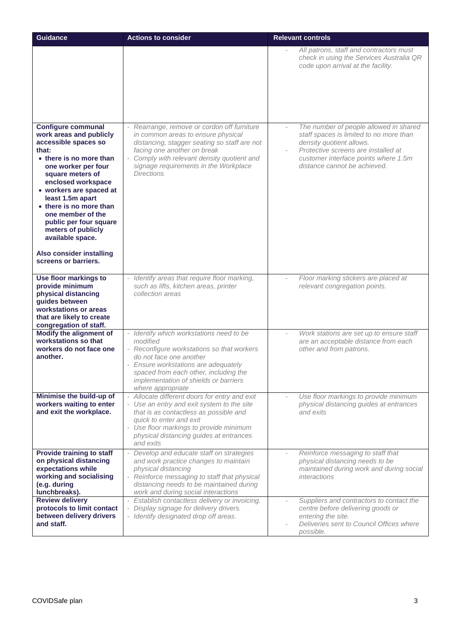| <b>Guidance</b>                                                                                                                                                                                                                                                                                                                                                                                                 | <b>Actions to consider</b>                                                                                                                                                                                                                                                   | <b>Relevant controls</b>                                                                                                                                                                                                     |
|-----------------------------------------------------------------------------------------------------------------------------------------------------------------------------------------------------------------------------------------------------------------------------------------------------------------------------------------------------------------------------------------------------------------|------------------------------------------------------------------------------------------------------------------------------------------------------------------------------------------------------------------------------------------------------------------------------|------------------------------------------------------------------------------------------------------------------------------------------------------------------------------------------------------------------------------|
|                                                                                                                                                                                                                                                                                                                                                                                                                 |                                                                                                                                                                                                                                                                              | All patrons, staff and contractors must<br>check in using the Services Australia QR<br>code upon arrival at the facility.                                                                                                    |
| <b>Configure communal</b><br>work areas and publicly<br>accessible spaces so<br>that:<br>• there is no more than<br>one worker per four<br>square meters of<br>enclosed workspace<br>• workers are spaced at<br>least 1.5m apart<br>• there is no more than<br>one member of the<br>public per four square<br>meters of publicly<br>available space.<br><b>Also consider installing</b><br>screens or barriers. | Rearrange, remove or cordon off furniture<br>in common areas to ensure physical<br>distancing, stagger seating so staff are not<br>facing one another on break<br>- Comply with relevant density quotient and<br>signage requirements in the Workplace<br><b>Directions</b>  | The number of people allowed in shared<br>staff spaces is limited to no more than<br>density quotient allows.<br>Protective screens are installed at<br>customer interface points where 1.5m<br>distance cannot be achieved. |
| Use floor markings to<br>provide minimum<br>physical distancing<br>guides between<br>workstations or areas<br>that are likely to create<br>congregation of staff.                                                                                                                                                                                                                                               | Identify areas that require floor marking,<br>such as lifts, kitchen areas, printer<br>collection areas                                                                                                                                                                      | Floor marking stickers are placed at<br>relevant congregation points.                                                                                                                                                        |
| Modify the alignment of<br>workstations so that<br>workers do not face one<br>another.                                                                                                                                                                                                                                                                                                                          | - Identify which workstations need to be<br>modified<br>- Reconfigure workstations so that workers<br>do not face one another<br>- Ensure workstations are adequately<br>spaced from each other, including the<br>implementation of shields or barriers<br>where appropriate | Work stations are set up to ensure staff<br>are an acceptable distance from each<br>other and from patrons.                                                                                                                  |
| Minimise the build-up of<br>workers waiting to enter<br>and exit the workplace.                                                                                                                                                                                                                                                                                                                                 | - Allocate different doors for entry and exit<br>- Use an entry and exit system to the site<br>that is as contactless as possible and<br>quick to enter and exit<br>- Use floor markings to provide minimum<br>physical distancing guides at entrances<br>and exits          | Use floor markings to provide minimum<br>physical distancing guides at entrances<br>and exits                                                                                                                                |
| <b>Provide training to staff</b><br>on physical distancing<br>expectations while<br>working and socialising<br>(e.g. during<br>lunchbreaks).                                                                                                                                                                                                                                                                    | - Develop and educate staff on strategies<br>and work practice changes to maintain<br>physical distancing<br>Reinforce messaging to staff that physical<br>distancing needs to be maintained during<br>work and during social interactions                                   | Reinforce messaging to staff that<br>physical distancing needs to be<br>maintained during work and during social<br>interactions                                                                                             |
| <b>Review delivery</b><br>protocols to limit contact<br>between delivery drivers<br>and staff.                                                                                                                                                                                                                                                                                                                  | - Establish contactless delivery or invoicing.<br>Display signage for delivery drivers.<br>- Identify designated drop off areas.                                                                                                                                             | Suppliers and contractors to contact the<br>centre before delivering goods or<br>entering the site.<br>Deliveries sent to Council Offices where<br>possible.                                                                 |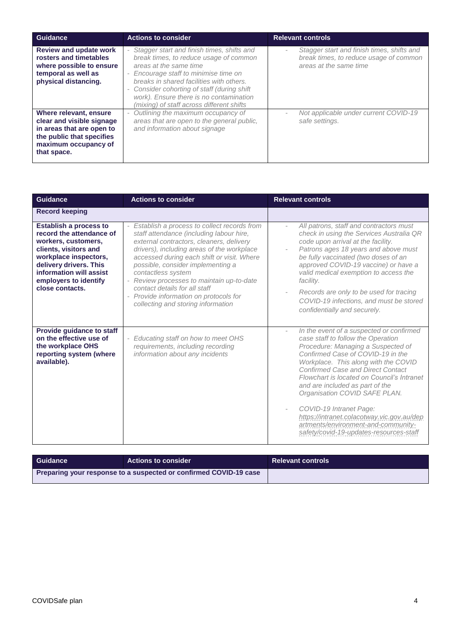| <b>Guidance</b>                                                                                                                                      | <b>Actions to consider</b>                                                                                                                                                                                                                                                                                                                    | <b>Relevant controls</b>                                                                                       |
|------------------------------------------------------------------------------------------------------------------------------------------------------|-----------------------------------------------------------------------------------------------------------------------------------------------------------------------------------------------------------------------------------------------------------------------------------------------------------------------------------------------|----------------------------------------------------------------------------------------------------------------|
| <b>Review and update work</b><br>rosters and timetables<br>where possible to ensure<br>temporal as well as<br>physical distancing.                   | - Stagger start and finish times, shifts and<br>break times, to reduce usage of common<br>areas at the same time<br>- Encourage staff to minimise time on<br>breaks in shared facilities with others.<br>- Consider cohorting of staff (during shift)<br>work). Ensure there is no contamination<br>(mixing) of staff across different shifts | Stagger start and finish times, shifts and<br>break times, to reduce usage of common<br>areas at the same time |
| Where relevant, ensure<br>clear and visible signage<br>in areas that are open to<br>the public that specifies<br>maximum occupancy of<br>that space. | Outlining the maximum occupancy of<br>areas that are open to the general public,<br>and information about signage                                                                                                                                                                                                                             | Not applicable under current COVID-19<br>safe settings.                                                        |

| <b>Guidance</b>                                                                                                                                                                                                                     | <b>Actions to consider</b>                                                                                                                                                                                                                                                                                                                                                                                                                                 | <b>Relevant controls</b>                                                                                                                                                                                                                                                                                                                                                                                                                                                                                                   |
|-------------------------------------------------------------------------------------------------------------------------------------------------------------------------------------------------------------------------------------|------------------------------------------------------------------------------------------------------------------------------------------------------------------------------------------------------------------------------------------------------------------------------------------------------------------------------------------------------------------------------------------------------------------------------------------------------------|----------------------------------------------------------------------------------------------------------------------------------------------------------------------------------------------------------------------------------------------------------------------------------------------------------------------------------------------------------------------------------------------------------------------------------------------------------------------------------------------------------------------------|
| <b>Record keeping</b>                                                                                                                                                                                                               |                                                                                                                                                                                                                                                                                                                                                                                                                                                            |                                                                                                                                                                                                                                                                                                                                                                                                                                                                                                                            |
| <b>Establish a process to</b><br>record the attendance of<br>workers, customers,<br>clients, visitors and<br>workplace inspectors,<br>delivery drivers. This<br>information will assist<br>employers to identify<br>close contacts. | - Establish a process to collect records from<br>staff attendance (including labour hire,<br>external contractors, cleaners, delivery<br>drivers), including areas of the workplace<br>accessed during each shift or visit. Where<br>possible, consider implementing a<br>contactless system<br>- Review processes to maintain up-to-date<br>contact details for all staff<br>- Provide information on protocols for<br>collecting and storing information | All patrons, staff and contractors must<br>check in using the Services Australia QR<br>code upon arrival at the facility.<br>Patrons ages 18 years and above must<br>be fully vaccinated (two doses of an<br>approved COVID-19 vaccine) or have a<br>valid medical exemption to access the<br>facility.<br>Records are only to be used for tracing<br>COVID-19 infections, and must be stored<br>confidentially and securely.                                                                                              |
| Provide guidance to staff<br>on the effective use of<br>the workplace OHS<br>reporting system (where<br>available).                                                                                                                 | Educating staff on how to meet OHS<br>requirements, including recording<br>information about any incidents                                                                                                                                                                                                                                                                                                                                                 | In the event of a suspected or confirmed<br>case staff to follow the Operation<br>Procedure: Managing a Suspected of<br>Confirmed Case of COVID-19 in the<br>Workplace. This along with the COVID<br><b>Confirmed Case and Direct Contact</b><br>Flowchart is located on Council's Intranet<br>and are included as part of the<br>Organisation COVID SAFE PLAN.<br>COVID-19 Intranet Page:<br>https://intranet.colacotway.vic.gov.au/dep<br>artments/environment-and-community-<br>safety/covid-19-updates-resources-staff |

| Guidance                                                          | <b>Actions to consider</b> | <b>Relevant controls</b> |
|-------------------------------------------------------------------|----------------------------|--------------------------|
| Preparing your response to a suspected or confirmed COVID-19 case |                            |                          |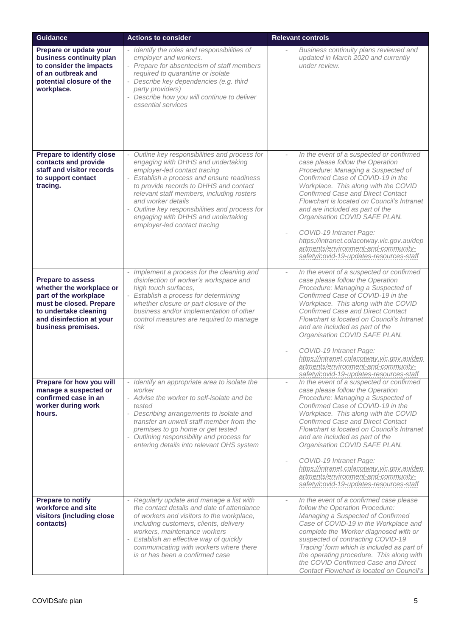| <b>Guidance</b>                                                                                                                                                                     | <b>Actions to consider</b>                                                                                                                                                                                                                                                                                                                                                                                                        | <b>Relevant controls</b>                                                                                                                                                                                                                                                                                                                                                                                                                                                                                                                             |
|-------------------------------------------------------------------------------------------------------------------------------------------------------------------------------------|-----------------------------------------------------------------------------------------------------------------------------------------------------------------------------------------------------------------------------------------------------------------------------------------------------------------------------------------------------------------------------------------------------------------------------------|------------------------------------------------------------------------------------------------------------------------------------------------------------------------------------------------------------------------------------------------------------------------------------------------------------------------------------------------------------------------------------------------------------------------------------------------------------------------------------------------------------------------------------------------------|
| Prepare or update your<br>business continuity plan<br>to consider the impacts<br>of an outbreak and<br>potential closure of the<br>workplace.                                       | - Identify the roles and responsibilities of<br>employer and workers.<br>- Prepare for absenteeism of staff members<br>required to quarantine or isolate<br>- Describe key dependencies (e.g. third<br>party providers)<br>Describe how you will continue to deliver<br>essential services                                                                                                                                        | Business continuity plans reviewed and<br>updated in March 2020 and currently<br>under review.                                                                                                                                                                                                                                                                                                                                                                                                                                                       |
| <b>Prepare to identify close</b><br>contacts and provide<br>staff and visitor records<br>to support contact<br>tracing.                                                             | Outline key responsibilities and process for<br>$\overline{\phantom{a}}$<br>engaging with DHHS and undertaking<br>employer-led contact tracing<br>- Establish a process and ensure readiness<br>to provide records to DHHS and contact<br>relevant staff members, including rosters<br>and worker details<br>- Outline key responsibilities and process for<br>engaging with DHHS and undertaking<br>employer-led contact tracing | In the event of a suspected or confirmed<br>$\overline{\phantom{a}}$<br>case please follow the Operation<br>Procedure: Managing a Suspected of<br>Confirmed Case of COVID-19 in the<br>Workplace. This along with the COVID<br><b>Confirmed Case and Direct Contact</b><br>Flowchart is located on Council's Intranet<br>and are included as part of the<br>Organisation COVID SAFE PLAN.<br>COVID-19 Intranet Page:<br>https://intranet.colacotway.vic.gov.au/dep<br>artments/environment-and-community-<br>safety/covid-19-updates-resources-staff |
| <b>Prepare to assess</b><br>whether the workplace or<br>part of the workplace<br>must be closed. Prepare<br>to undertake cleaning<br>and disinfection at your<br>business premises. | - Implement a process for the cleaning and<br>disinfection of worker's workspace and<br>high touch surfaces,<br>- Establish a process for determining<br>whether closure or part closure of the<br>business and/or implementation of other<br>control measures are required to manage<br>risk                                                                                                                                     | In the event of a suspected or confirmed<br>$\bar{ }$<br>case please follow the Operation<br>Procedure: Managing a Suspected of<br>Confirmed Case of COVID-19 in the<br>Workplace. This along with the COVID<br><b>Confirmed Case and Direct Contact</b><br>Flowchart is located on Council's Intranet<br>and are included as part of the<br>Organisation COVID SAFE PLAN.<br>COVID-19 Intranet Page:<br>https://intranet.colacotway.vic.gov.au/dep<br>artments/environment-and-community-<br>safety/covid-19-updates-resources-staff                |
| Prepare for how you will<br>manage a suspected or<br>confirmed case in an<br>worker during work<br>hours.                                                                           | - Identify an appropriate area to isolate the<br>worker<br>- Advise the worker to self-isolate and be<br>tested<br>- Describing arrangements to isolate and<br>transfer an unwell staff member from the<br>premises to go home or get tested<br>- Outlining responsibility and process for<br>entering details into relevant OHS system                                                                                           | In the event of a suspected or confirmed<br>$\overline{\phantom{a}}$<br>case please follow the Operation<br>Procedure: Managing a Suspected of<br>Confirmed Case of COVID-19 in the<br>Workplace. This along with the COVID<br><b>Confirmed Case and Direct Contact</b><br>Flowchart is located on Council's Intranet<br>and are included as part of the<br>Organisation COVID SAFE PLAN.<br>COVID-19 Intranet Page:<br>https://intranet.colacotway.vic.gov.au/dep<br>artments/environment-and-community-<br>safety/covid-19-updates-resources-staff |
| <b>Prepare to notify</b><br>workforce and site<br>visitors (including close<br>contacts)                                                                                            | - Regularly update and manage a list with<br>the contact details and date of attendance<br>of workers and visitors to the workplace,<br>including customers, clients, delivery<br>workers, maintenance workers<br>- Establish an effective way of quickly<br>communicating with workers where there<br>is or has been a confirmed case                                                                                            | In the event of a confirmed case please<br>$\overline{\phantom{a}}$<br>follow the Operation Procedure:<br>Managing a Suspected of Confirmed<br>Case of COVID-19 in the Workplace and<br>complete the 'Worker diagnosed with or<br>suspected of contracting COVID-19<br>Tracing' form which is included as part of<br>the operating procedure. This along with<br>the COVID Confirmed Case and Direct<br>Contact Flowchart is located on Council's                                                                                                    |